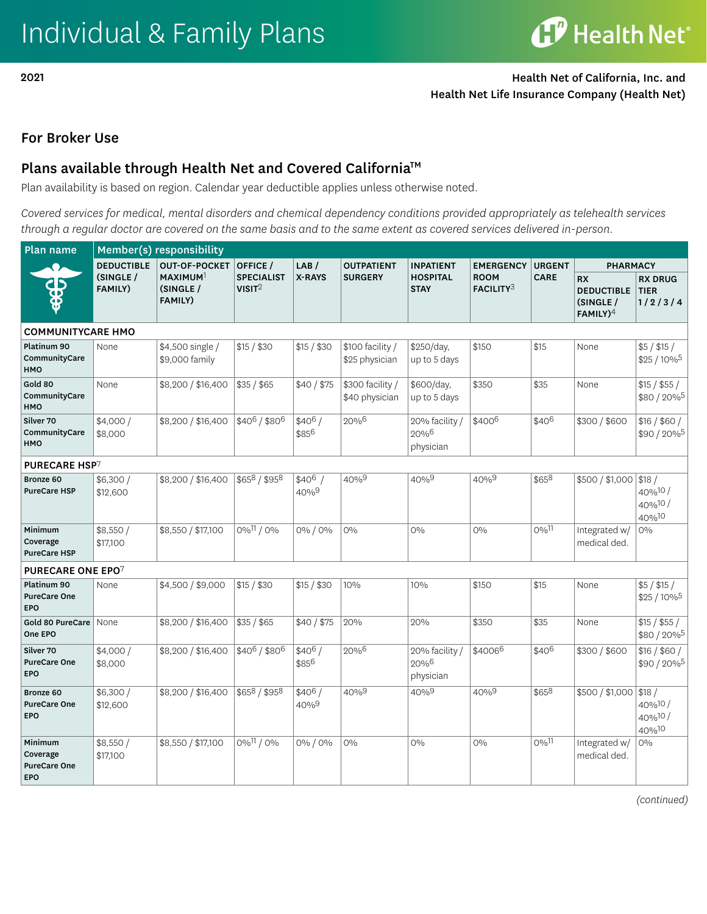2021 Health Net of California, Inc. and Health Net Life Insurance Company (Health Net)

## For Broker Use

## Plans available through Health Net and Covered California<sup>™</sup>

Plan availability is based on region. Calendar year deductible applies unless otherwise noted.

*Covered services for medical, mental disorders and chemical dependency conditions provided appropriately as telehealth services through a regular doctor are covered on the same basis and to the same extent as covered services delivered in-person.* 

| Plan name                                                | Member(s) responsibility    |                                                     |                                         |                   |                                    |                                     |                          |                              |                                                            |                                                    |  |
|----------------------------------------------------------|-----------------------------|-----------------------------------------------------|-----------------------------------------|-------------------|------------------------------------|-------------------------------------|--------------------------|------------------------------|------------------------------------------------------------|----------------------------------------------------|--|
|                                                          | <b>DEDUCTIBLE</b>           | <b>OUT-OF-POCKET</b>                                | OFFICE /                                | LAB/              | <b>OUTPATIENT</b>                  | <b>INPATIENT</b>                    | <b>EMERGENCY</b>         | <b>URGENT</b><br><b>CARE</b> | <b>PHARMACY</b>                                            |                                                    |  |
|                                                          | (SINGLE /<br><b>FAMILY)</b> | MAXIMUM <sup>1</sup><br>(SINGLE /<br><b>FAMILY)</b> | <b>SPECIALIST</b><br>VISIT <sup>2</sup> | X-RAYS            | <b>SURGERY</b>                     | <b>HOSPITAL</b><br><b>STAY</b>      | <b>ROOM</b><br>FACILITY3 |                              | <b>RX</b><br><b>DEDUCTIBLE</b><br>(SINGLE /<br>$FAMILY)^4$ | <b>RX DRUG</b><br><b>TIER</b><br>1/2/3/4           |  |
| <b>COMMUNITYCARE HMO</b>                                 |                             |                                                     |                                         |                   |                                    |                                     |                          |                              |                                                            |                                                    |  |
| Platinum 90<br>CommunityCare<br><b>HMO</b>               | None                        | \$4,500 single /<br>\$9,000 family                  | \$15 / \$30                             | \$15 / \$30       | \$100 facility /<br>\$25 physician | \$250/day,<br>up to 5 days          | \$150                    | \$15                         | None                                                       | $$5/$ \$15 /<br>\$25 / 10% <sup>5</sup>            |  |
| Gold 80<br>CommunityCare<br><b>HMO</b>                   | None                        | \$8,200 / \$16,400                                  | \$35 / \$65                             | \$40 / \$75       | \$300 facility /<br>\$40 physician | \$600/day,<br>up to 5 days          | \$350                    | \$35                         | None                                                       | \$15 / \$55 /<br>\$80 / 20% <sup>5</sup>           |  |
| Silver 70<br>CommunityCare<br><b>HMO</b>                 | \$4,000/<br>\$8,000         | \$8,200 / \$16,400                                  | $$40^6 / $80^6$                         | $$40^6/$<br>\$856 | 20%6                               | 20% facility /<br>20%6<br>physician | \$4006                   | \$406                        | \$300 / \$600                                              | \$16 / \$60 /<br>\$90 / 20%5                       |  |
| <b>PURECARE HSP7</b>                                     |                             |                                                     |                                         |                   |                                    |                                     |                          |                              |                                                            |                                                    |  |
| Bronze 60<br><b>PureCare HSP</b>                         | \$6,300/<br>\$12,600        | \$8,200 / \$16,400                                  | \$658/\$958                             | $$40^6$<br>40%9   | $40\%^{9}$                         | $40%^{9}$                           | $40%^{9}$                | \$658                        | \$500 / \$1,000                                            | \$18/<br>40%10/<br>40%10/<br>40%10                 |  |
| Minimum<br>Coverage<br><b>PureCare HSP</b>               | \$8,550/<br>\$17,100        | \$8,550 / \$17,100                                  | $0\%$ <sup>11</sup> / 0%                | 0% / 0%           | 0%                                 | 0%                                  | 0%                       | $0\%$ <sup>11</sup>          | Integrated w/<br>medical ded.                              | 0%                                                 |  |
| PURECARE ONE EPO7                                        |                             |                                                     |                                         |                   |                                    |                                     |                          |                              |                                                            |                                                    |  |
| Platinum 90<br><b>PureCare One</b><br><b>EPO</b>         | None                        | \$4,500 / \$9,000                                   | \$15 / \$30                             | \$15 / \$30       | 10%                                | 10%                                 | \$150                    | \$15                         | None                                                       | $$5/$ \$15 /<br>\$25 / 10% <sup>5</sup>            |  |
| Gold 80 PureCare<br>One EPO                              | None                        | \$8,200 / \$16,400                                  | \$35 / \$65                             | \$40/\$75         | 20%                                | 20%                                 | \$350                    | \$35                         | None                                                       | \$15 / \$55 /<br>\$80 / 20% <sup>5</sup>           |  |
| Silver 70<br><b>PureCare One</b><br>EPO                  | \$4,000/<br>\$8,000         | \$8,200 / \$16,400                                  | \$406/\$806                             | $$40^6/$<br>\$856 | 20%6                               | 20% facility /<br>20%6<br>physician | \$40066                  | \$406                        | \$300 / \$600                                              | \$16 / \$60 /<br>\$90 / 20% <sup>5</sup>           |  |
| Bronze 60<br><b>PureCare One</b><br><b>EPO</b>           | \$6,300/<br>\$12,600        | \$8,200 / \$16,400                                  | \$658 / \$958                           | $$40^6/$<br>40%9  | $40\%^{9}$                         | $40\%^{9}$                          | $40\%^{9}$               | \$658                        | \$500 / \$1,000                                            | \$18/<br>$40\%$ <sup>10</sup> /<br>40%10/<br>40%10 |  |
| Minimum<br>Coverage<br><b>PureCare One</b><br><b>EPO</b> | \$8,550/<br>\$17,100        | \$8,550 / \$17,100                                  | 0%11/0%                                 | 0% / 0%           | 0%                                 | 0%                                  | $0\%$                    | $0\%$ <sup>11</sup>          | Integrated w/<br>medical ded.                              | 0%                                                 |  |

*(continued)*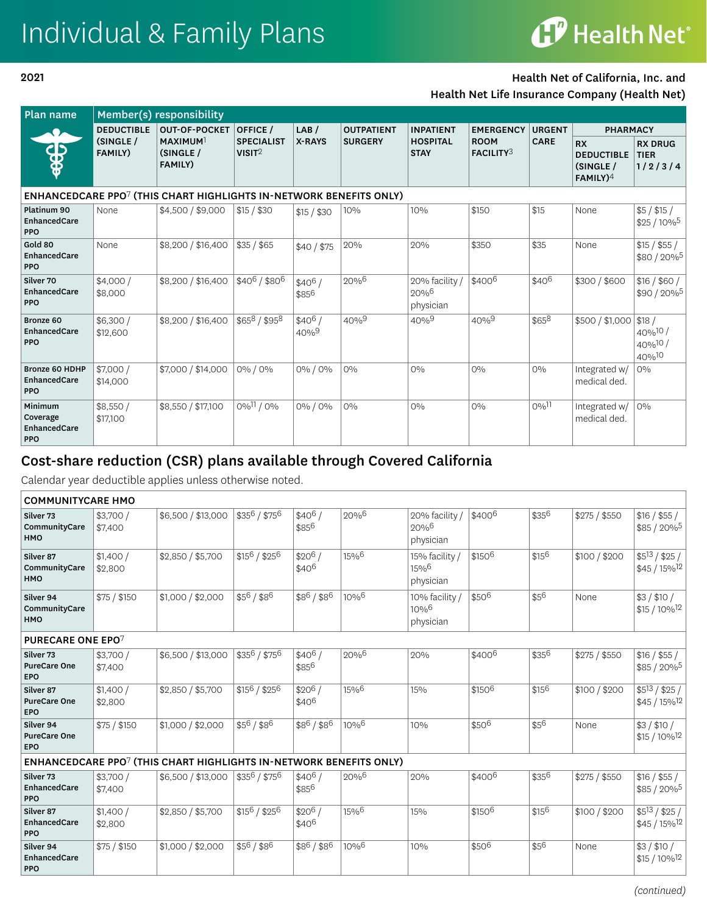## Individual & Family Plans

# **CP** Health Net®

#### 2021

#### Health Net of California, Inc. and

Health Net Life Insurance Company (Health Net)

| Plan name                                                                      | Member(s) responsibility    |                                              |                                         |                   |                   |                                                    |                                 |                     |                                                                     |                                          |  |
|--------------------------------------------------------------------------------|-----------------------------|----------------------------------------------|-----------------------------------------|-------------------|-------------------|----------------------------------------------------|---------------------------------|---------------------|---------------------------------------------------------------------|------------------------------------------|--|
|                                                                                | <b>DEDUCTIBLE</b>           | <b>OUT-OF-POCKET</b>                         | OFFICE /                                | LAB/              | <b>OUTPATIENT</b> | <b>INPATIENT</b>                                   | <b>EMERGENCY</b>                | <b>URGENT</b>       | <b>PHARMACY</b>                                                     |                                          |  |
| 25<br>$\clubsuit$                                                              | (SINGLE /<br><b>FAMILY)</b> | <b>MAXIMUM</b><br>(SINGLE)<br><b>FAMILY)</b> | <b>SPECIALIST</b><br>VISIT <sup>2</sup> | X-RAYS            | <b>SURGERY</b>    | <b>HOSPITAL</b><br><b>STAY</b>                     | <b>ROOM</b><br><b>FACILITY3</b> | <b>CARE</b>         | <b>RX</b><br><b>DEDUCTIBLE</b><br>(SINGLE)<br>$FAMILY$ <sup>4</sup> | <b>RX DRUG</b><br><b>TIER</b><br>1/2/3/4 |  |
| ENHANCEDCARE PPO <sup>7</sup> (THIS CHART HIGHLIGHTS IN-NETWORK BENEFITS ONLY) |                             |                                              |                                         |                   |                   |                                                    |                                 |                     |                                                                     |                                          |  |
| Platinum 90<br>EnhancedCare<br><b>PPO</b>                                      | None                        | \$4,500 / \$9,000                            | $$15/$ \$30                             | \$15 / \$30       | 10%               | 10%                                                | \$150                           | \$15                | None                                                                | $$5/$ \$15 /<br>$$25/10\%$ <sup>5</sup>  |  |
| Gold 80<br>EnhancedCare<br><b>PPO</b>                                          | None                        | \$8,200 / \$16,400                           | \$35 / \$65                             | \$40/\$75         | 20%               | 20%                                                | \$350                           | \$35                | None                                                                | \$15 / \$55 /<br>\$80/20%                |  |
| Silver 70<br>EnhancedCare<br><b>PPO</b>                                        | \$4,000/<br>\$8,000         | \$8,200 / \$16,400                           | $$40^6 / $80^6$                         | $$40^6/$<br>\$856 | 20%6              | 20% facility /<br>$20\%$ <sup>6</sup><br>physician | \$4006                          | $\frac{1}{2}40^6$   | \$300 / \$600                                                       | \$16 / \$60 /<br>$$90/20\%$ <sup>5</sup> |  |
| Bronze 60<br>EnhancedCare<br><b>PPO</b>                                        | \$6,300/<br>\$12,600        | \$8,200 / \$16,400                           | \$658 / \$958                           | $$40^6/$<br>40%9  | $40\%^{9}$        | $40\%^{9}$                                         | 40%9                            | \$658               | \$500 / \$1,000                                                     | \$18/<br>40%10/<br>40%10/<br>40%10       |  |
| <b>Bronze 60 HDHP</b><br>EnhancedCare<br><b>PPO</b>                            | \$7,000/<br>\$14,000        | \$7,000 / \$14,000                           | 0% / 0%                                 | 0% / 0%           | $O\%$             | 0%                                                 | $0\%$                           | $O\%$               | Integrated w/<br>medical ded.                                       | $O\%$                                    |  |
| Minimum<br>Coverage<br>EnhancedCare<br><b>PPO</b>                              | \$8,550/<br>\$17,100        | \$8,550 / \$17,100                           | 0%11 / 0%                               | 0% / 0%           | $O\%$             | $0\%$                                              | $O\%$                           | $0\%$ <sup>11</sup> | Integrated w/<br>medical ded.                                       | $O\%$                                    |  |

## Cost-share reduction (CSR) plans available through Covered California

Calendar year deductible applies unless otherwise noted.

| <b>COMMUNITYCARE HMO</b>                       |                     |                                                                                |                 |                               |                    |                                                   |        |           |               |                                                   |  |
|------------------------------------------------|---------------------|--------------------------------------------------------------------------------|-----------------|-------------------------------|--------------------|---------------------------------------------------|--------|-----------|---------------|---------------------------------------------------|--|
| Silver 73<br>CommunityCare<br>HMO              | \$3,700/<br>\$7,400 | \$6,500 / \$13,000                                                             | $$35^6 / $75^6$ | $$40^6/$<br>\$856             | 20%6               | 20% facility /<br>20%6<br>physician               | \$4006 | \$356     | \$275 / \$550 | \$16 / \$55 /<br>$$85/20\%^5$                     |  |
| Silver 87<br>CommunityCare<br>HMO              | \$1,400/<br>\$2,800 | \$2,850 / \$5,700                                                              | $$15^6 / $25^6$ | $$20^6/$<br>\$40 <sup>6</sup> | 15%6               | 15% facility /<br>15%6<br>physician               | \$1506 | \$156     | \$100 / \$200 | $$5^{13} / $25 /$<br>$$45/15\%$ <sup>12</sup>     |  |
| Silver 94<br>CommunityCare<br><b>HMO</b>       | \$75 / \$150        | \$1,000 / \$2,000                                                              | \$56/\$86       | $$8^6/ $8^6$                  | $10\%^{6}$         | 10% facility /<br>$10%$ <sup>6</sup><br>physician | \$506  | \$56      | None          | \$3/\$10/<br>$$15/10\%$ <sup>12</sup>             |  |
| <b>PURECARE ONE EPO7</b>                       |                     |                                                                                |                 |                               |                    |                                                   |        |           |               |                                                   |  |
| Silver 73<br><b>PureCare One</b><br><b>EPO</b> | \$3,700/<br>\$7,400 | \$6,500 / \$13,000                                                             | $$35^6 / $75^6$ | $$40^6/$<br>\$856             | 20%6               | 20%                                               | \$4006 | \$356     | \$275 / \$550 | \$16 / \$55 /<br>\$85 / 20% <sup>5</sup>          |  |
| Silver 87<br><b>PureCare One</b><br><b>EPO</b> | \$1,400/<br>\$2,800 | \$2,850 / \$5,700                                                              | $$15^6 / $25^6$ | $$20^6/$<br>\$406             | 15%6               | 15%                                               | \$1506 | \$156     | \$100 / \$200 | $$5^{13} / $25 /$<br>$$45/15\%$ <sup>12</sup>     |  |
| Silver 94<br><b>PureCare One</b><br><b>EPO</b> | \$75/\$150          | \$1,000 / \$2,000                                                              | \$56/\$86       | \$86/\$86                     | $10%^{6}$          | 10%                                               | \$506  | \$56      | None          | \$3/\$10/<br>$$15 / 10\%$ <sup>12</sup>           |  |
|                                                |                     | ENHANCEDCARE PPO <sup>7</sup> (THIS CHART HIGHLIGHTS IN-NETWORK BENEFITS ONLY) |                 |                               |                    |                                                   |        |           |               |                                                   |  |
| Silver 73<br>EnhancedCare<br><b>PPO</b>        | \$3,700/<br>\$7,400 | \$6,500 / \$13,000                                                             | \$356 / \$756   | $$40^6/$<br>\$856             | 20%6               | 20%                                               | \$4006 | \$356     | \$275 / \$550 | \$16 / \$55 /<br>\$85 / 20% <sup>5</sup>          |  |
| Silver 87<br>EnhancedCare<br><b>PPO</b>        | \$1,400/<br>\$2,800 | \$2,850 / \$5,700                                                              | $$15^6 / $25^6$ | $$20^6/$<br>$$40^6$           | 15%                | 15%                                               | \$1506 | $$15^{6}$ | \$100 / \$200 | $\sqrt{$5^{13}/$25/}$<br>$$45/15\%$ <sup>12</sup> |  |
| Silver 94<br>EnhancedCare<br><b>PPO</b>        | \$75/\$150          | \$1,000 / \$2,000                                                              | \$56/\$86       | \$86/\$86                     | $10%$ <sup>6</sup> | 10%                                               | \$506  | \$56      | None          | \$3/\$10/<br>$$15 / 10\%$ <sup>12</sup>           |  |